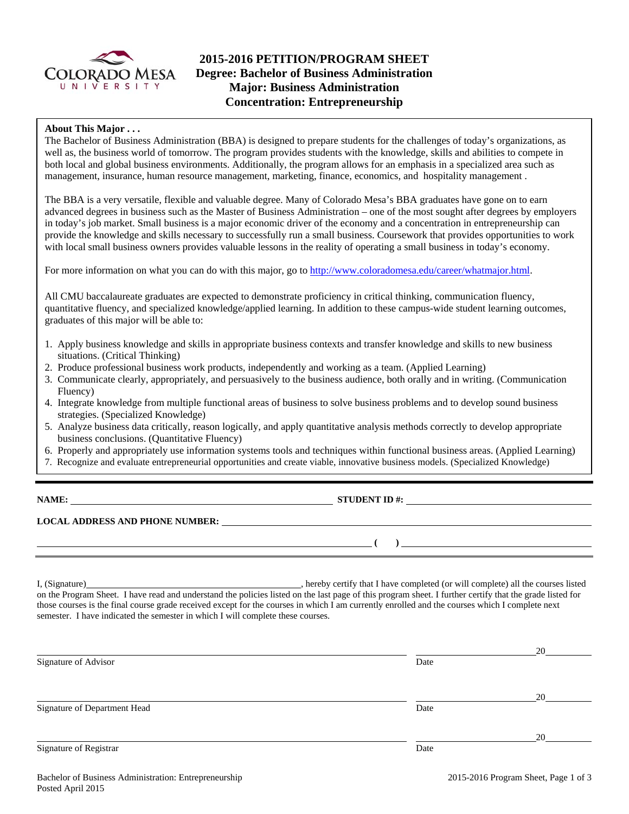

# **2015-2016 PETITION/PROGRAM SHEET Degree: Bachelor of Business Administration Major: Business Administration Concentration: Entrepreneurship**

## **About This Major . . .**

The Bachelor of Business Administration (BBA) is designed to prepare students for the challenges of today's organizations, as well as, the business world of tomorrow. The program provides students with the knowledge, skills and abilities to compete in both local and global business environments. Additionally, the program allows for an emphasis in a specialized area such as management, insurance, human resource management, marketing, finance, economics, and hospitality management .

The BBA is a very versatile, flexible and valuable degree. Many of Colorado Mesa's BBA graduates have gone on to earn advanced degrees in business such as the Master of Business Administration – one of the most sought after degrees by employers in today's job market. Small business is a major economic driver of the economy and a concentration in entrepreneurship can provide the knowledge and skills necessary to successfully run a small business. Coursework that provides opportunities to work with local small business owners provides valuable lessons in the reality of operating a small business in today's economy.

For more information on what you can do with this major, go to http://www.coloradomesa.edu/career/whatmajor.html.

All CMU baccalaureate graduates are expected to demonstrate proficiency in critical thinking, communication fluency, quantitative fluency, and specialized knowledge/applied learning. In addition to these campus-wide student learning outcomes, graduates of this major will be able to:

- 1. Apply business knowledge and skills in appropriate business contexts and transfer knowledge and skills to new business situations. (Critical Thinking)
- 2. Produce professional business work products, independently and working as a team. (Applied Learning)
- 3. Communicate clearly, appropriately, and persuasively to the business audience, both orally and in writing. (Communication Fluency)
- 4. Integrate knowledge from multiple functional areas of business to solve business problems and to develop sound business strategies. (Specialized Knowledge)
- 5. Analyze business data critically, reason logically, and apply quantitative analysis methods correctly to develop appropriate business conclusions. (Quantitative Fluency)
- 6. Properly and appropriately use information systems tools and techniques within functional business areas. (Applied Learning)
- 7. Recognize and evaluate entrepreneurial opportunities and create viable, innovative business models. (Specialized Knowledge)

**NAME: STUDENT ID #: STUDENT ID #: STUDENT ID #: STUDENT ID #: STUDENT ID #: STUDENT ID #: STUDENT ID #: STUDENT ID #: STUDENT ID #: STUDENT ID #: STUDENT ID #: STUDENT ID #: STUDENT ID #: STUDE** 

**LOCAL ADDRESS AND PHONE NUMBER:**

I, (Signature) , hereby certify that I have completed (or will complete) all the courses listed on the Program Sheet. I have read and understand the policies listed on the last page of this program sheet. I further certify that the grade listed for those courses is the final course grade received except for the courses in which I am currently enrolled and the courses which I complete next semester. I have indicated the semester in which I will complete these courses.

|                              |      | 20 |
|------------------------------|------|----|
| Signature of Advisor         | Date |    |
|                              |      | 20 |
| Signature of Department Head | Date |    |
|                              |      | 20 |
| Signature of Registrar       | Date |    |

 **( )**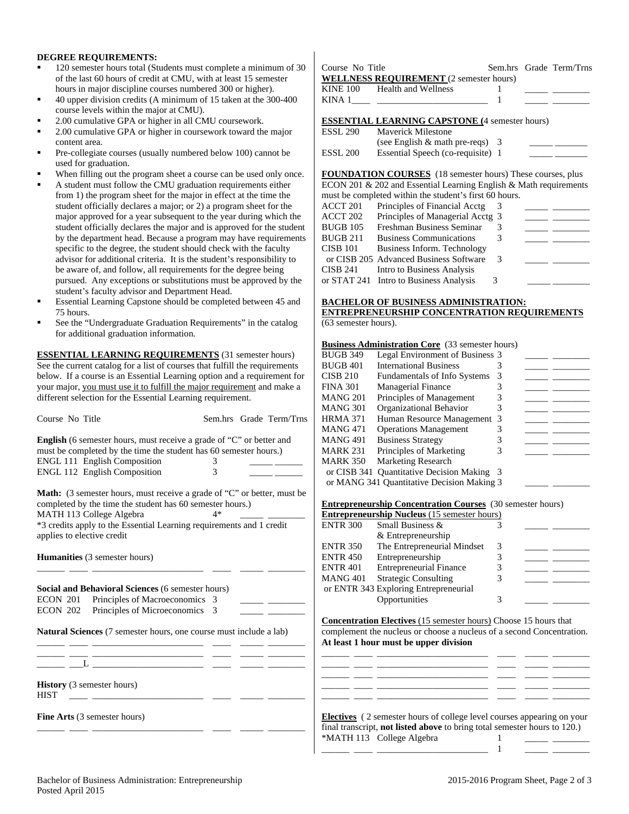## **DEGREE REQUIREMENTS:**

- 120 semester hours total (Students must complete a minimum of 30 of the last 60 hours of credit at CMU, with at least 15 semester hours in major discipline courses numbered 300 or higher).
- 40 upper division credits (A minimum of 15 taken at the 300-400 course levels within the major at CMU).
- 2.00 cumulative GPA or higher in all CMU coursework.
- 2.00 cumulative GPA or higher in coursework toward the major content area.
- Pre-collegiate courses (usually numbered below 100) cannot be used for graduation.
- When filling out the program sheet a course can be used only once.
- A student must follow the CMU graduation requirements either from 1) the program sheet for the major in effect at the time the student officially declares a major; or 2) a program sheet for the major approved for a year subsequent to the year during which the student officially declares the major and is approved for the student by the department head. Because a program may have requirements specific to the degree, the student should check with the faculty advisor for additional criteria. It is the student's responsibility to be aware of, and follow, all requirements for the degree being pursued. Any exceptions or substitutions must be approved by the student's faculty advisor and Department Head.
- Essential Learning Capstone should be completed between 45 and 75 hours.
- See the "Undergraduate Graduation Requirements" in the catalog for additional graduation information.

**ESSENTIAL LEARNING REQUIREMENTS** (31 semester hours) See the current catalog for a list of courses that fulfill the requirements below. If a course is an Essential Learning option and a requirement for your major, you must use it to fulfill the major requirement and make a different selection for the Essential Learning requirement.

| Course No Title                                                           |      | Sem.hrs Grade Term/Trns | <b>HRMA 371</b> | Human Resource Management 3                                                                                        |   | the company of the company of      |                              |
|---------------------------------------------------------------------------|------|-------------------------|-----------------|--------------------------------------------------------------------------------------------------------------------|---|------------------------------------|------------------------------|
|                                                                           |      |                         | <b>MANG 471</b> | <b>Operations Management</b>                                                                                       | 3 |                                    | <u> De Barbara (Barbara)</u> |
| English (6 semester hours, must receive a grade of "C" or better and      |      |                         | <b>MANG 491</b> | <b>Business Strategy</b>                                                                                           | 3 | <u> The Common State State Sta</u> |                              |
| must be completed by the time the student has 60 semester hours.)         |      |                         | <b>MARK 231</b> | Principles of Marketing                                                                                            |   |                                    |                              |
| ENGL 111 English Composition                                              | 3    |                         | <b>MARK 350</b> | Marketing Research                                                                                                 |   |                                    |                              |
| ENGL 112 English Composition                                              |      |                         |                 | or CISB 341 Quantitative Decision Making 3                                                                         |   |                                    |                              |
|                                                                           |      |                         |                 | or MANG 341 Quantitative Decision Making 3                                                                         |   |                                    |                              |
| Math: (3 semester hours, must receive a grade of "C" or better, must be   |      |                         |                 |                                                                                                                    |   |                                    |                              |
| completed by the time the student has 60 semester hours.)                 |      |                         |                 | <b>Entrepreneurship Concentration Courses</b> (30 semester hours)                                                  |   |                                    |                              |
| MATH 113 College Algebra                                                  | $4*$ |                         |                 | <b>Entrepreneurship Nucleus</b> (15 semester hours)                                                                |   |                                    |                              |
| *3 credits apply to the Essential Learning requirements and 1 credit      |      |                         | <b>ENTR 300</b> | Small Business &                                                                                                   |   |                                    |                              |
| applies to elective credit                                                |      |                         |                 | & Entrepreneurship                                                                                                 |   |                                    |                              |
|                                                                           |      |                         | <b>ENTR 350</b> | The Entrepreneurial Mindset                                                                                        | 3 |                                    |                              |
| Humanities (3 semester hours)                                             |      |                         | <b>ENTR 450</b> | Entrepreneurship                                                                                                   | 3 | the company of the company         |                              |
|                                                                           |      |                         | <b>ENTR 401</b> | <b>Entrepreneurial Finance</b>                                                                                     | 3 |                                    |                              |
|                                                                           |      |                         | <b>MANG 401</b> | <b>Strategic Consulting</b>                                                                                        | 3 |                                    |                              |
| Social and Behavioral Sciences (6 semester hours)                         |      |                         |                 | or ENTR 343 Exploring Entrepreneurial                                                                              |   |                                    |                              |
| Principles of Macroeconomics 3<br><b>ECON 201</b>                         |      |                         |                 | Opportunities                                                                                                      | 3 |                                    |                              |
| <b>ECON 202</b><br>Principles of Microeconomics 3                         |      |                         |                 |                                                                                                                    |   |                                    |                              |
|                                                                           |      |                         |                 | <b>Concentration Electives (15 semester hours)</b> Choose 15 hours that                                            |   |                                    |                              |
| <b>Natural Sciences</b> (7 semester hours, one course must include a lab) |      |                         |                 | complement the nucleus or choose a nucleus of a second Concentration.                                              |   |                                    |                              |
|                                                                           |      |                         |                 | At least 1 hour must be upper division                                                                             |   |                                    |                              |
|                                                                           |      |                         |                 |                                                                                                                    |   |                                    |                              |
|                                                                           |      |                         |                 |                                                                                                                    |   |                                    |                              |
|                                                                           |      |                         |                 |                                                                                                                    |   |                                    |                              |
| <b>History</b> (3 semester hours)                                         |      |                         |                 |                                                                                                                    |   |                                    |                              |
| <b>HIST</b>                                                               |      |                         |                 |                                                                                                                    |   |                                    |                              |
|                                                                           |      |                         |                 |                                                                                                                    |   |                                    |                              |
| Fine Arts (3 semester hours)                                              |      |                         |                 | <b>Electives</b> (2 semester hours of college level courses appearing on your                                      |   |                                    |                              |
|                                                                           |      |                         |                 | final transcript, <b>not listed above</b> to bring total semester hours to 120.)<br>$*MATH113$ College Algebra $1$ |   |                                    |                              |

| Course No Title |                                                |  | Sem.hrs Grade Term/Trns |
|-----------------|------------------------------------------------|--|-------------------------|
|                 | <b>WELLNESS REQUIREMENT</b> (2 semester hours) |  |                         |
|                 | KINE 100 Health and Wellness                   |  |                         |
| KINA 1          |                                                |  |                         |
|                 |                                                |  |                         |

#### **ESSENTIAL LEARNING CAPSTONE (**4 semester hours)

| ESSL 290 | <b>Maverick Milestone</b>          |  |
|----------|------------------------------------|--|
|          | (see English $\&$ math pre-reqs) 3 |  |
| ESSL 200 | Essential Speech (co-requisite) 1  |  |

**FOUNDATION COURSES** (18 semester hours) These courses, plus ECON 201 & 202 and Essential Learning English & Math requirements must be completed within the student's first 60 hours.

|                 | must be completed within the student s first ob hours. |   |  |
|-----------------|--------------------------------------------------------|---|--|
| ACCT 201        | Principles of Financial Acctg                          |   |  |
| ACCT 202        | Principles of Managerial Acctg 3                       |   |  |
| <b>BUGB 105</b> | Freshman Business Seminar                              |   |  |
| BUGB 211        | <b>Business Communications</b>                         |   |  |
| <b>CISB 101</b> | Business Inform. Technology                            |   |  |
|                 | or CISB 205 Advanced Business Software                 |   |  |
| CISB 241        | Intro to Business Analysis                             |   |  |
|                 | or STAT 241 Intro to Business Analysis                 | 3 |  |

#### **BACHELOR OF BUSINESS ADMINISTRATION: ENTREPRENEURSHIP CONCENTRATION REQUIREMENTS** (63 semester hours).

### **Business Administration Core** (33 semester hours)

| <b>BUGB 349</b> | Legal Environment of Business 3            |   |  |
|-----------------|--------------------------------------------|---|--|
| <b>BUGB 401</b> | <b>International Business</b>              |   |  |
| <b>CISB 210</b> | Fundamentals of Info Systems               |   |  |
| <b>FINA 301</b> | <b>Managerial Finance</b>                  |   |  |
| <b>MANG 201</b> | Principles of Management                   |   |  |
| <b>MANG 301</b> | Organizational Behavior                    | 3 |  |
| <b>HRMA 371</b> | Human Resource Management 3                |   |  |
| <b>MANG 471</b> | <b>Operations Management</b>               |   |  |
| <b>MANG 491</b> | <b>Business Strategy</b>                   |   |  |
| <b>MARK 231</b> | Principles of Marketing                    |   |  |
| <b>MARK 350</b> | Marketing Research                         |   |  |
|                 | or CISB 341 Quantitative Decision Making 3 |   |  |
|                 | or MANG 341 Quantitative Decision Making 3 |   |  |

### **Entrepreneurship Concentration Courses** (30 semester hours)

| <b>Entrepreneurship Nucleus</b> (15 semester hours) |                                       |   |  |  |  |
|-----------------------------------------------------|---------------------------------------|---|--|--|--|
| <b>ENTR 300</b>                                     | Small Business $\&$                   |   |  |  |  |
|                                                     | & Entrepreneurship                    |   |  |  |  |
| <b>ENTR 350</b>                                     | The Entrepreneurial Mindset           | 3 |  |  |  |
| <b>ENTR 450</b>                                     | Entrepreneurship                      |   |  |  |  |
| <b>ENTR 401</b>                                     | <b>Entrepreneurial Finance</b>        |   |  |  |  |
| <b>MANG 401</b>                                     | <b>Strategic Consulting</b>           |   |  |  |  |
|                                                     | or ENTR 343 Exploring Entrepreneurial |   |  |  |  |
|                                                     | Opportunities                         |   |  |  |  |

| <b>Electives</b> (2 semester hours of college level courses appearing on your |  |  |
|-------------------------------------------------------------------------------|--|--|
| final transcript, not listed above to bring total semester hours to 120.)     |  |  |
| *MATH 113 College Algebra                                                     |  |  |

\_\_\_\_\_\_ \_\_\_\_ \_\_\_\_\_\_\_\_\_\_\_\_\_\_\_\_\_\_\_\_\_\_\_\_ 1 \_\_\_\_\_ \_\_\_\_\_\_\_\_